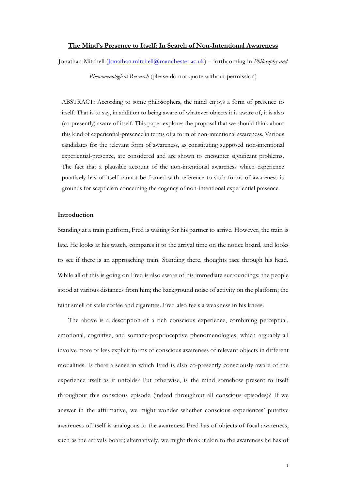#### **The Mind's Presence to Itself: In Search of Non-Intentional Awareness**

Jonathan Mitchell [\(Jonathan.mitchell@manchester.ac.uk\)](mailto:Jonathan.mitchell@manchester.ac.uk) – forthcoming in *Philosophy and* 

*Phenomenological Research* (please do not quote without permission)

ABSTRACT: According to some philosophers, the mind enjoys a form of presence to itself. That is to say, in addition to being aware of whatever objects it is aware of, it is also (co-presently) aware of itself. This paper explores the proposal that we should think about this kind of experiential-presence in terms of a form of non-intentional awareness. Various candidates for the relevant form of awareness, as constituting supposed non-intentional experiential-presence, are considered and are shown to encounter significant problems. The fact that a plausible account of the non-intentional awareness which experience putatively has of itself cannot be framed with reference to such forms of awareness is grounds for scepticism concerning the cogency of non-intentional experiential presence.

## **Introduction**

Standing at a train platform, Fred is waiting for his partner to arrive. However, the train is late. He looks at his watch, compares it to the arrival time on the notice board, and looks to see if there is an approaching train. Standing there, thoughts race through his head. While all of this is going on Fred is also aware of his immediate surroundings: the people stood at various distances from him; the background noise of activity on the platform; the faint smell of stale coffee and cigarettes. Fred also feels a weakness in his knees.

The above is a description of a rich conscious experience, combining perceptual, emotional, cognitive, and somatic-proprioceptive phenomenologies, which arguably all involve more or less explicit forms of conscious awareness of relevant objects in different modalities. Is there a sense in which Fred is also co-presently consciously aware of the experience itself as it unfolds? Put otherwise, is the mind somehow present to itself throughout this conscious episode (indeed throughout all conscious episodes)? If we answer in the affirmative, we might wonder whether conscious experiences' putative awareness of itself is analogous to the awareness Fred has of objects of focal awareness, such as the arrivals board; alternatively, we might think it akin to the awareness he has of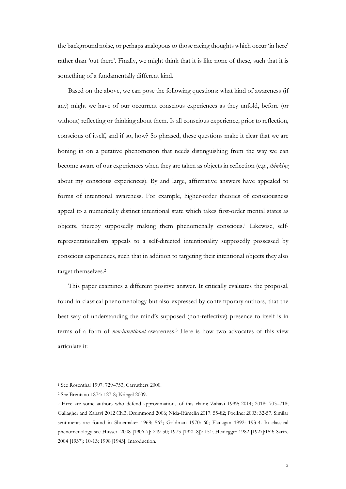the background noise, or perhaps analogous to those racing thoughts which occur 'in here' rather than 'out there'. Finally, we might think that it is like none of these, such that it is something of a fundamentally different kind.

Based on the above, we can pose the following questions: what kind of awareness (if any) might we have of our occurrent conscious experiences as they unfold, before (or without) reflecting or thinking about them. Is all conscious experience, prior to reflection, conscious of itself, and if so, how? So phrased, these questions make it clear that we are honing in on a putative phenomenon that needs distinguishing from the way we can become aware of our experiences when they are taken as objects in reflection (e.g., *thinking* about my conscious experiences). By and large, affirmative answers have appealed to forms of intentional awareness. For example, higher-order theories of consciousness appeal to a numerically distinct intentional state which takes first-order mental states as objects, thereby supposedly making them phenomenally conscious. <sup>1</sup> Likewise, selfrepresentationalism appeals to a self-directed intentionality supposedly possessed by conscious experiences, such that in addition to targeting their intentional objects they also target themselves.<sup>2</sup>

This paper examines a different positive answer. It critically evaluates the proposal, found in classical phenomenology but also expressed by contemporary authors, that the best way of understanding the mind's supposed (non-reflective) presence to itself is in terms of a form of *non-intentional* awareness.<sup>3</sup> Here is how two advocates of this view articulate it:

<sup>1</sup> See Rosenthal 1997: 729–753; Carruthers 2000.

<sup>2</sup> See Brentano 1874: 127-8; Kriegel 2009.

<sup>3</sup> Here are some authors who defend approximations of this claim; Zahavi 1999; 2014; 2018: 703–718; Gallagher and Zahavi 2012 Ch.3; Drummond 2006; Nida-Rümelin 2017: 55-82; Poellner 2003: 32-57. Similar sentiments are found in Shoemaker 1968; 563; Goldman 1970: 60; Flanagan 1992: 193-4. In classical phenomenology see Husserl 2008 [1906-7]: 249-50; 1973 [1921-8]): 151; Heidegger 1982 [1927]:159; Sartre 2004 [1937]: 10-13; 1998 [1943]: Introduction.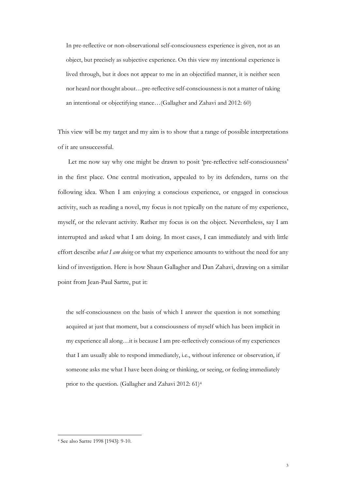In pre-reflective or non-observational self-consciousness experience is given, not as an object, but precisely as subjective experience. On this view my intentional experience is lived through, but it does not appear to me in an objectified manner, it is neither seen nor heard nor thought about…pre-reflective self-consciousness is not a matter of taking an intentional or objectifying stance…(Gallagher and Zahavi and 2012: 60)

This view will be my target and my aim is to show that a range of possible interpretations of it are unsuccessful.

Let me now say why one might be drawn to posit 'pre-reflective self-consciousness' in the first place. One central motivation, appealed to by its defenders, turns on the following idea. When I am enjoying a conscious experience, or engaged in conscious activity, such as reading a novel, my focus is not typically on the nature of my experience, myself, or the relevant activity. Rather my focus is on the object. Nevertheless, say I am interrupted and asked what I am doing. In most cases, I can immediately and with little effort describe *what I am doing* or what my experience amounts to without the need for any kind of investigation. Here is how Shaun Gallagher and Dan Zahavi, drawing on a similar point from Jean-Paul Sartre, put it:

the self-consciousness on the basis of which I answer the question is not something acquired at just that moment, but a consciousness of myself which has been implicit in my experience all along…it is because I am pre-reflectively conscious of my experiences that I am usually able to respond immediately, i.e., without inference or observation, if someone asks me what I have been doing or thinking, or seeing, or feeling immediately prior to the question. (Gallagher and Zahavi 2012: 61)<sup>4</sup>

<sup>4</sup> See also Sartre 1998 [1943]: 9-10.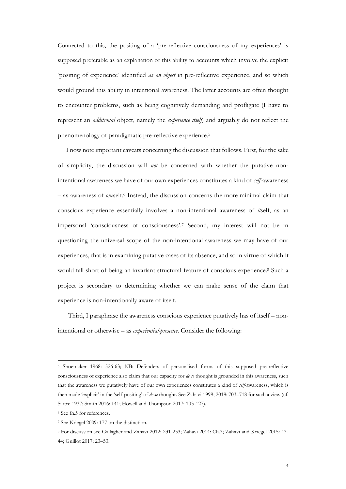Connected to this, the positing of a 'pre-reflective consciousness of my experiences' is supposed preferable as an explanation of this ability to accounts which involve the explicit 'positing of experience' identified *as an object* in pre-reflective experience, and so which would ground this ability in intentional awareness. The latter accounts are often thought to encounter problems, such as being cognitively demanding and profligate (I have to represent an *additional* object, namely the *experience itself*) and arguably do not reflect the phenomenology of paradigmatic pre-reflective experience.<sup>5</sup>

I now note important caveats concerning the discussion that follows. First, for the sake of simplicity, the discussion will *not* be concerned with whether the putative nonintentional awareness we have of our own experiences constitutes a kind of *self*-awareness – as awareness of *one*self.<sup>6</sup> Instead, the discussion concerns the more minimal claim that conscious experience essentially involves a non-intentional awareness of *it*self, as an impersonal 'consciousness of consciousness'.<sup>7</sup> Second, my interest will not be in questioning the universal scope of the non-intentional awareness we may have of our experiences, that is in examining putative cases of its absence, and so in virtue of which it would fall short of being an invariant structural feature of conscious experience. <sup>8</sup> Such a project is secondary to determining whether we can make sense of the claim that experience is non-intentionally aware of itself.

Third, I paraphrase the awareness conscious experience putatively has of itself – nonintentional or otherwise – as *experiential-presence*. Consider the following:

<sup>5</sup> Shoemaker 1968: 526-63; NB: Defenders of personalised forms of this supposed pre-reflective consciousness of experience also claim that our capacity for *de se* thought is grounded in this awareness, such that the awareness we putatively have of our own experiences constitutes a kind of *self*-awareness, which is then made 'explicit' in the 'self-positing' of *de se* thought. See Zahavi 1999; 2018: 703–718 for such a view (cf. Sartre 1937; Smith 2016: 141; Howell and Thompson 2017: 103-127).

<sup>6</sup> See fn.5 for references.

<sup>7</sup> See Kriegel 2009: 177 on the distinction.

<sup>8</sup> For discussion see Gallagher and Zahavi 2012: 231-233; Zahavi 2014: Ch.3; Zahavi and Kriegel 2015: 43- 44; Guillot 2017: 23–53.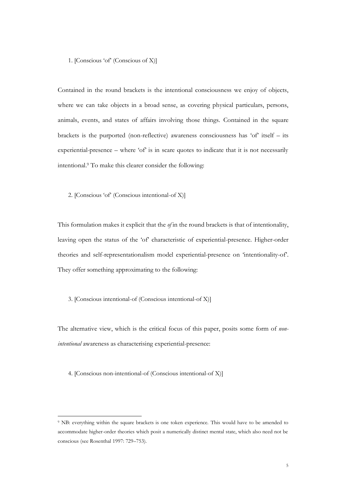## 1. [Conscious 'of' (Conscious of X)]

Contained in the round brackets is the intentional consciousness we enjoy of objects, where we can take objects in a broad sense, as covering physical particulars, persons, animals, events, and states of affairs involving those things. Contained in the square brackets is the purported (non-reflective) awareness consciousness has 'of' itself – its experiential-presence – where 'of' is in scare quotes to indicate that it is not necessarily intentional. <sup>9</sup> To make this clearer consider the following:

2. [Conscious 'of' (Conscious intentional-of X)]

This formulation makes it explicit that the *of* in the round brackets is that of intentionality, leaving open the status of the 'of' characteristic of experiential-presence. Higher-order theories and self-representationalism model experiential-presence on 'intentionality-of'. They offer something approximating to the following:

# 3. [Conscious intentional-of (Conscious intentional-of X)]

The alternative view, which is the critical focus of this paper, posits some form of *nonintentional* awareness as characterising experiential-presence:

4. [Conscious non-intentional-of (Conscious intentional-of X)]

<sup>9</sup> NB: everything within the square brackets is one token experience. This would have to be amended to accommodate higher-order theories which posit a numerically distinct mental state, which also need not be conscious (see Rosenthal 1997: 729–753).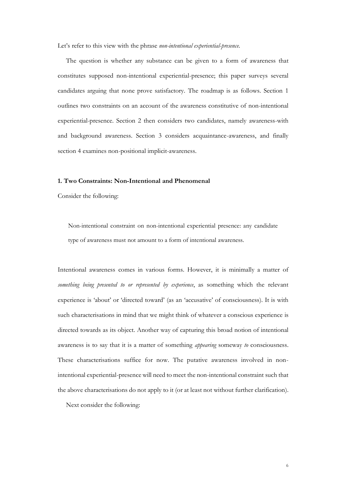Let's refer to this view with the phrase *non-intentional experiential-presence*.

The question is whether any substance can be given to a form of awareness that constitutes supposed non-intentional experiential-presence; this paper surveys several candidates arguing that none prove satisfactory. The roadmap is as follows. Section 1 outlines two constraints on an account of the awareness constitutive of non-intentional experiential-presence. Section 2 then considers two candidates, namely awareness-with and background awareness. Section 3 considers acquaintance-awareness, and finally section 4 examines non-positional implicit-awareness.

#### **1. Two Constraints: Non-Intentional and Phenomenal**

Consider the following:

Non-intentional constraint on non-intentional experiential presence: any candidate type of awareness must not amount to a form of intentional awareness.

Intentional awareness comes in various forms. However, it is minimally a matter of *something being presented to or represented by experience*, as something which the relevant experience is 'about' or 'directed toward' (as an 'accusative' of consciousness). It is with such characterisations in mind that we might think of whatever a conscious experience is directed towards as its object. Another way of capturing this broad notion of intentional awareness is to say that it is a matter of something *appearing* someway *to* consciousness. These characterisations suffice for now. The putative awareness involved in nonintentional experiential-presence will need to meet the non-intentional constraint such that the above characterisations do not apply to it (or at least not without further clarification).

Next consider the following: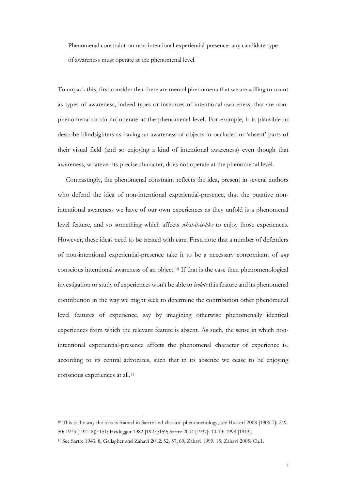Phenomenal constraint on non-intentional experiential-presence: any candidate type of awareness must operate at the phenomenal level.

To unpack this, first consider that there are mental phenomena that we are willing to count as types of awareness, indeed types or instances of intentional awareness, that are nonphenomenal or do no operate at the phenomenal level. For example, it is plausible to describe blindsighters as having an awareness of objects in occluded or 'absent' parts of their visual field (and so enjoying a kind of intentional awareness) even though that awareness, whatever its precise character, does not operate at the phenomenal level.

Contrastingly, the phenomenal constraint reflects the idea, present in several authors who defend the idea of non-intentional experiential-presence, that the putative nonintentional awareness we have of our own experiences as they unfold is a phenomenal level feature, and so something which affects *what-it-is-like* to enjoy those experiences. However, these ideas need to be treated with care. First, note that a number of defenders of non-intentional experiential-presence take it to be a necessary concomitant of *any* conscious intentional awareness of an object.<sup>10</sup> If that is the case then phenomenological investigation or study of experiences won't be able to *isolate* this feature and its phenomenal contribution in the way we might seek to determine the contribution other phenomenal level features of experience, say by imagining otherwise phenomenally identical experiences from which the relevant feature is absent. As such, the sense in which nonintentional experiential-presence affects the phenomenal character of experience is, according to its central advocates, such that in its absence we cease to be enjoying conscious experiences at all.<sup>11</sup>

<sup>10</sup> This is the way the idea is framed in Sartre and classical phenomenology; see Husserl 2008 [1906-7]: 249- 50; 1973 [1921-8]): 151; Heidegger 1982 [1927]:159; Sartre 2004 [1937]: 10-13; 1998 [1943].

<sup>11</sup> See Sartre 1943: 8, Gallagher and Zahavi 2012: 52, 57, 69; Zahavi 1999: 15; Zahavi 2005: Ch.1.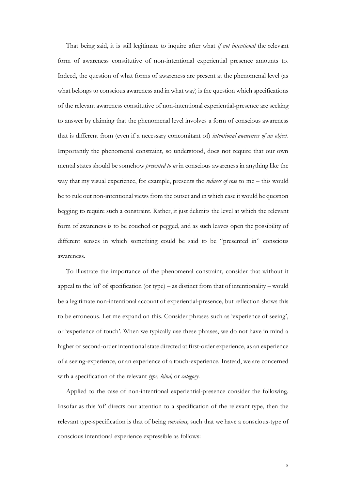That being said, it is still legitimate to inquire after what *if not intentional* the relevant form of awareness constitutive of non-intentional experiential presence amounts to. Indeed, the question of what forms of awareness are present at the phenomenal level (as what belongs to conscious awareness and in what way) is the question which specifications of the relevant awareness constitutive of non-intentional experiential-presence are seeking to answer by claiming that the phenomenal level involves a form of conscious awareness that is different from (even if a necessary concomitant of) *intentional awareness of an object*. Importantly the phenomenal constraint, so understood, does not require that our own mental states should be somehow *presented to us* in conscious awareness in anything like the way that my visual experience, for example, presents the *redness of rose* to me – this would be to rule out non-intentional views from the outset and in which case it would be question begging to require such a constraint. Rather, it just delimits the level at which the relevant form of awareness is to be couched or pegged, and as such leaves open the possibility of different senses in which something could be said to be "presented in" conscious awareness.

To illustrate the importance of the phenomenal constraint, consider that without it appeal to the 'of' of specification (or type) – as distinct from that of intentionality – would be a legitimate non-intentional account of experiential-presence, but reflection shows this to be erroneous. Let me expand on this. Consider phrases such as 'experience of seeing', or 'experience of touch'. When we typically use these phrases, we do not have in mind a higher or second-order intentional state directed at first-order experience, as an experience of a seeing-experience, or an experience of a touch-experience. Instead, we are concerned with a specification of the relevant *type, kind,* or *category*.

Applied to the case of non-intentional experiential-presence consider the following. Insofar as this 'of' directs our attention to a specification of the relevant type, then the relevant type-specification is that of being *conscious*, such that we have a conscious-type of conscious intentional experience expressible as follows: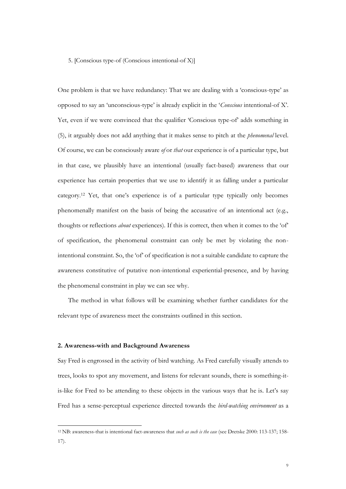## 5. [Conscious type-of (Conscious intentional-of X)]

One problem is that we have redundancy: That we are dealing with a 'conscious-type' as opposed to say an 'unconscious-type' is already explicit in the '*Conscious* intentional-of X'. Yet, even if we were convinced that the qualifier 'Conscious type-of' adds something in (5), it arguably does not add anything that it makes sense to pitch at the *phenomenal* level. Of course, we can be consciously aware *of* or *that* our experience is of a particular type, but in that case, we plausibly have an intentional (usually fact-based) awareness that our experience has certain properties that we use to identify it as falling under a particular category.<sup>12</sup> Yet, that one's experience is of a particular type typically only becomes phenomenally manifest on the basis of being the accusative of an intentional act (e.g., thoughts or reflections *about* experiences). If this is correct, then when it comes to the 'of' of specification, the phenomenal constraint can only be met by violating the nonintentional constraint. So, the 'of' of specification is not a suitable candidate to capture the awareness constitutive of putative non-intentional experiential-presence, and by having the phenomenal constraint in play we can see why.

The method in what follows will be examining whether further candidates for the relevant type of awareness meet the constraints outlined in this section.

### **2. Awareness-with and Background Awareness**

Say Fred is engrossed in the activity of bird watching. As Fred carefully visually attends to trees, looks to spot any movement, and listens for relevant sounds, there is something-itis-like for Fred to be attending to these objects in the various ways that he is. Let's say Fred has a sense-perceptual experience directed towards the *bird-watching environment* as a

<sup>12</sup> NB: awareness-that is intentional fact-awareness that *such as such is the case* (see Dretske 2000: 113-137; 158- 17).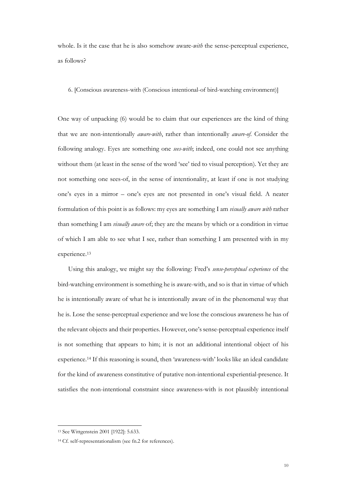whole. Is it the case that he is also somehow aware-*with* the sense-perceptual experience, as follows?

6. [Conscious awareness-with (Conscious intentional-of bird-watching environment)]

One way of unpacking (6) would be to claim that our experiences are the kind of thing that we are non-intentionally *aware-with*, rather than intentionally *aware-of*. Consider the following analogy. Eyes are something one *sees-with*; indeed, one could not see anything without them (at least in the sense of the word 'see' tied to visual perception). Yet they are not something one sees-of, in the sense of intentionality, at least if one is not studying one's eyes in a mirror – one's eyes are not presented in one's visual field. A neater formulation of this point is as follows: my eyes are something I am *visually aware with* rather than something I am *visually aware* of; they are the means by which or a condition in virtue of which I am able to see what I see, rather than something I am presented with in my experience.<sup>13</sup>

Using this analogy, we might say the following: Fred's *sense-perceptual experience* of the bird-watching environment is something he is aware-with, and so is that in virtue of which he is intentionally aware of what he is intentionally aware of in the phenomenal way that he is. Lose the sense-perceptual experience and we lose the conscious awareness he has of the relevant objects and their properties. However, one's sense-perceptual experience itself is not something that appears to him; it is not an additional intentional object of his experience.<sup>14</sup> If this reasoning is sound, then 'awareness-with' looks like an ideal candidate for the kind of awareness constitutive of putative non-intentional experiential-presence. It satisfies the non-intentional constraint since awareness-with is not plausibly intentional

<sup>13</sup> See Wittgenstein 2001 [1922]: 5.633.

<sup>14</sup> Cf. self-representationalism (see fn.2 for references).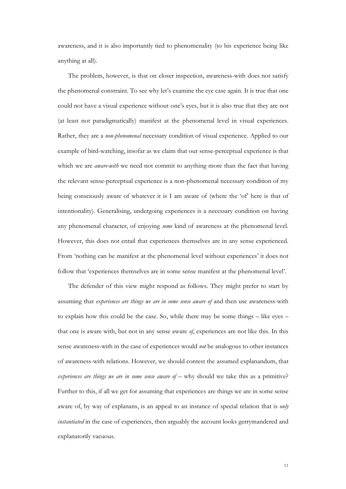awareness, and it is also importantly tied to phenomenality (to his experience being like anything at all).

The problem, however, is that on closer inspection, awareness-with does not satisfy the phenomenal constraint. To see why let's examine the eye case again. It is true that one could not have a visual experience without one's eyes, but it is also true that they are not (at least not paradigmatically) manifest at the phenomenal level in visual experiences. Rather, they are a *non-phenomenal* necessary condition of visual experience. Applied to our example of bird-watching, insofar as we claim that our sense-perceptual experience is that which we are *aware-with* we need not commit to anything more than the fact that having the relevant sense-perceptual experience is a non-phenomenal necessary condition of my being consciously aware of whatever it is I am aware of (where the 'of' here is that of intentionality). Generalising, undergoing experiences is a necessary condition on having any phenomenal character, of enjoying *some* kind of awareness at the phenomenal level. However, this does not entail that experiences themselves are in any sense experienced. From 'nothing can be manifest at the phenomenal level without experiences' it does not follow that 'experiences themselves are in some sense manifest at the phenomenal level'.

The defender of this view might respond as follows. They might prefer to start by assuming that *experiences are things we are in some sense aware of* and then use awareness-with to explain how this could be the case. So, while there may be some things – like eyes – that one is aware with, but not in any sense aware *of*, experiences are not like this. In this sense awareness-with in the case of experiences would *not* be analogous to other instances of awareness-with relations. However, we should contest the assumed explanandum, that *experiences are things we are in some sense aware of* – why should we take this as a primitive? Further to this, if all we get for assuming that experiences are things we are in some sense aware of, by way of explanans, is an appeal to an instance of special relation that is *only instantiated* in the case of experiences, then arguably the account looks gerrymandered and explanatorily vacuous.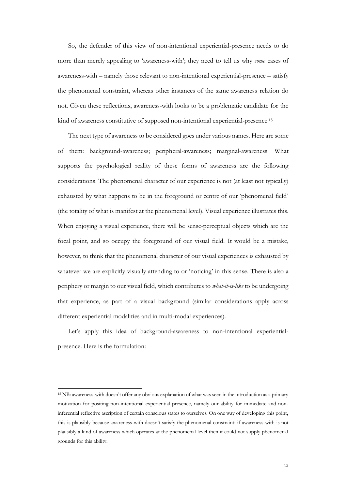So, the defender of this view of non-intentional experiential-presence needs to do more than merely appealing to 'awareness-with'; they need to tell us why *some* cases of awareness-with – namely those relevant to non-intentional experiential-presence – satisfy the phenomenal constraint, whereas other instances of the same awareness relation do not. Given these reflections, awareness-with looks to be a problematic candidate for the kind of awareness constitutive of supposed non-intentional experiential-presence. 15

The next type of awareness to be considered goes under various names. Here are some of them: background-awareness; peripheral-awareness; marginal-awareness. What supports the psychological reality of these forms of awareness are the following considerations. The phenomenal character of our experience is not (at least not typically) exhausted by what happens to be in the foreground or centre of our 'phenomenal field' (the totality of what is manifest at the phenomenal level). Visual experience illustrates this. When enjoying a visual experience, there will be sense-perceptual objects which are the focal point, and so occupy the foreground of our visual field. It would be a mistake, however, to think that the phenomenal character of our visual experiences is exhausted by whatever we are explicitly visually attending to or 'noticing' in this sense. There is also a periphery or margin to our visual field, which contributes to *what-it-is-like* to be undergoing that experience, as part of a visual background (similar considerations apply across different experiential modalities and in multi-modal experiences).

Let's apply this idea of background-awareness to non-intentional experientialpresence. Here is the formulation:

<sup>15</sup> NB: awareness-with doesn't offer any obvious explanation of what was seen in the introduction as a primary motivation for positing non-intentional experiential presence, namely our ability for immediate and noninferential reflective ascription of certain conscious states to ourselves. On one way of developing this point, this is plausibly because awareness-with doesn't satisfy the phenomenal constraint: if awareness-with is not plausibly a kind of awareness which operates at the phenomenal level then it could not supply phenomenal grounds for this ability.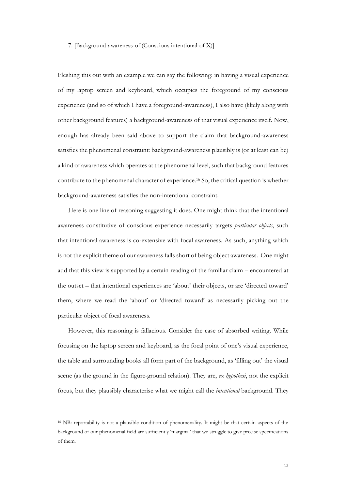#### 7. [Background-awareness-of (Conscious intentional-of X)]

Fleshing this out with an example we can say the following: in having a visual experience of my laptop screen and keyboard, which occupies the foreground of my conscious experience (and so of which I have a foreground-awareness), I also have (likely along with other background features) a background-awareness of that visual experience itself. Now, enough has already been said above to support the claim that background-awareness satisfies the phenomenal constraint: background-awareness plausibly is (or at least can be) a kind of awareness which operates at the phenomenal level, such that background features contribute to the phenomenal character of experience.<sup>16</sup> So, the critical question is whether background-awareness satisfies the non-intentional constraint.

Here is one line of reasoning suggesting it does. One might think that the intentional awareness constitutive of conscious experience necessarily targets *particular objects*, such that intentional awareness is co-extensive with focal awareness. As such, anything which is not the explicit theme of our awareness falls short of being object awareness. One might add that this view is supported by a certain reading of the familiar claim – encountered at the outset – that intentional experiences are 'about' their objects, or are 'directed toward' them, where we read the 'about' or 'directed toward' as necessarily picking out the particular object of focal awareness.

However, this reasoning is fallacious. Consider the case of absorbed writing. While focusing on the laptop screen and keyboard, as the focal point of one's visual experience, the table and surrounding books all form part of the background, as 'filling out' the visual scene (as the ground in the figure-ground relation). They are, *ex hypothesi*, not the explicit focus, but they plausibly characterise what we might call the *intentional* background. They

<sup>16</sup> NB: reportability is not a plausible condition of phenomenality. It might be that certain aspects of the background of our phenomenal field are sufficiently 'marginal' that we struggle to give precise specifications of them.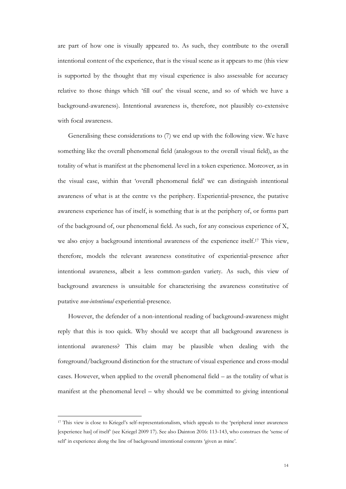are part of how one is visually appeared to. As such, they contribute to the overall intentional content of the experience, that is the visual scene as it appears to me (this view is supported by the thought that my visual experience is also assessable for accuracy relative to those things which 'fill out' the visual scene, and so of which we have a background-awareness). Intentional awareness is, therefore, not plausibly co-extensive with focal awareness.

Generalising these considerations to (7) we end up with the following view. We have something like the overall phenomenal field (analogous to the overall visual field), as the totality of what is manifest at the phenomenal level in a token experience. Moreover, as in the visual case, within that 'overall phenomenal field' we can distinguish intentional awareness of what is at the centre vs the periphery. Experiential-presence, the putative awareness experience has of itself, is something that is at the periphery of, or forms part of the background of, our phenomenal field. As such, for any conscious experience of X, we also enjoy a background intentional awareness of the experience itself.<sup>17</sup> This view, therefore, models the relevant awareness constitutive of experiential-presence after intentional awareness, albeit a less common-garden variety. As such, this view of background awareness is unsuitable for characterising the awareness constitutive of putative *non-intentional* experiential-presence.

However, the defender of a non-intentional reading of background-awareness might reply that this is too quick. Why should we accept that all background awareness is intentional awareness? This claim may be plausible when dealing with the foreground/background distinction for the structure of visual experience and cross-modal cases. However, when applied to the overall phenomenal field – as the totality of what is manifest at the phenomenal level – why should we be committed to giving intentional

<sup>17</sup> This view is close to Kriegel's self-representationalism, which appeals to the 'peripheral inner awareness [experience has] of itself' (see Kriegel 2009 17). See also Dainton 2016: 113-143, who construes the 'sense of self' in experience along the line of background intentional contents 'given as mine'.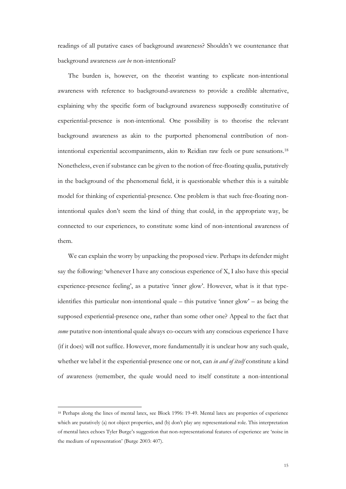readings of all putative cases of background awareness? Shouldn't we countenance that background awareness *can be* non-intentional?

The burden is, however, on the theorist wanting to explicate non-intentional awareness with reference to background-awareness to provide a credible alternative, explaining why the specific form of background awareness supposedly constitutive of experiential-presence is non-intentional. One possibility is to theorise the relevant background awareness as akin to the purported phenomenal contribution of nonintentional experiential accompaniments, akin to Reidian raw feels or pure sensations.<sup>18</sup> Nonetheless, even if substance can be given to the notion of free-floating qualia, putatively in the background of the phenomenal field, it is questionable whether this is a suitable model for thinking of experiential-presence. One problem is that such free-floating nonintentional quales don't seem the kind of thing that could, in the appropriate way, be connected to our experiences, to constitute some kind of non-intentional awareness of them.

We can explain the worry by unpacking the proposed view. Perhaps its defender might say the following: 'whenever I have any conscious experience of X, I also have this special experience-presence feeling', as a putative 'inner glow'. However, what is it that typeidentifies this particular non-intentional quale – this putative 'inner glow' – as being the supposed experiential-presence one, rather than some other one? Appeal to the fact that *some* putative non-intentional quale always co-occurs with any conscious experience I have (if it does) will not suffice. However, more fundamentally it is unclear how any such quale, whether we label it the experiential-presence one or not, can *in and of itself* constitute a kind of awareness (remember, the quale would need to itself constitute a non-intentional

<sup>18</sup> Perhaps along the lines of mental latex, see Block 1996: 19-49. Mental latex are properties of experience which are putatively (a) not object properties, and (b) don't play any representational role. This interpretation of mental latex echoes Tyler Burge's suggestion that non-representational features of experience are 'noise in the medium of representation' (Burge 2003: 407).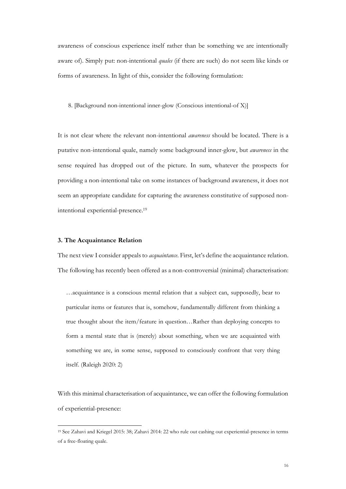awareness of conscious experience itself rather than be something we are intentionally aware of). Simply put: non-intentional *quales* (if there are such) do not seem like kinds or forms of awareness. In light of this, consider the following formulation:

8. [Background non-intentional inner-glow (Conscious intentional-of X)]

It is not clear where the relevant non-intentional *awareness* should be located. There is a putative non-intentional quale, namely some background inner-glow, but *awareness* in the sense required has dropped out of the picture. In sum, whatever the prospects for providing a non-intentional take on some instances of background awareness, it does not seem an appropriate candidate for capturing the awareness constitutive of supposed nonintentional experiential-presence.<sup>19</sup>

#### **3. The Acquaintance Relation**

The next view I consider appeals to *acquaintance*. First, let's define the acquaintance relation. The following has recently been offered as a non-controversial (minimal) characterisation:

…acquaintance is a conscious mental relation that a subject can, supposedly, bear to particular items or features that is, somehow, fundamentally different from thinking a true thought about the item/feature in question…Rather than deploying concepts to form a mental state that is (merely) about something, when we are acquainted with something we are, in some sense, supposed to consciously confront that very thing itself. (Raleigh 2020: 2)

With this minimal characterisation of acquaintance, we can offer the following formulation of experiential-presence:

<sup>19</sup> See Zahavi and Kriegel 2015: 38; Zahavi 2014: 22 who rule out cashing out experiential-presence in terms of a free-floating quale.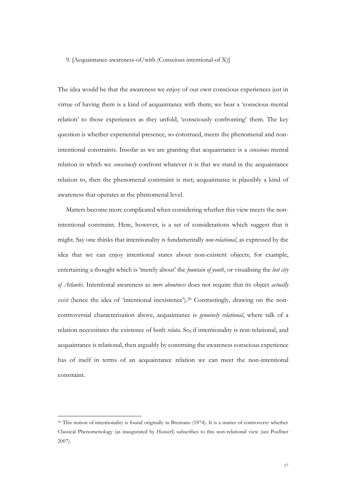9. [Acquaintance-awareness-of/with (Conscious intentional-of X)]

The idea would be that the awareness we enjoy of our own conscious experiences just in virtue of having them is a kind of acquaintance with them; we bear a 'conscious mental relation' to those experiences as they unfold, 'consciously confronting' them. The key question is whether experiential-presence, so construed, meets the phenomenal and nonintentional constraints. Insofar as we are granting that acquaintance is a *conscious* mental relation in which we *consciously* confront whatever it is that we stand in the acquaintance relation to, then the phenomenal constraint is met; acquaintance is plausibly a kind of awareness that operates at the phenomenal level.

Matters become more complicated when considering whether this view meets the nonintentional constraint. Here, however, is a set of considerations which suggest that it might. Say one thinks that intentionality is fundamentally *non-relational*, as expressed by the idea that we can enjoy intentional states about non-existent objects; for example, entertaining a thought which is 'merely about' the *fountain of youth*, or visualising the *lost city of Atlantis*. Intentional awareness as *mere aboutness* does not require that its object *actually exist* (hence the idea of 'intentional inexistence').<sup>20</sup> Contrastingly, drawing on the noncontroversial characterisation above, acquaintance is *genuinely relational*, where talk of a relation necessitates the existence of both *relata*. So, if intentionality is non-relational, and acquaintance is relational, then arguably by construing the awareness conscious experience has of itself in terms of an acquaintance relation we can meet the non-intentional constraint.

<sup>20</sup> This notion of intentionality is found originally in Brentano (1874). It is a matter of controversy whether Classical Phenomenology (as inaugurated by Husserl) subscribes to this non-relational view (see Poellner 2007).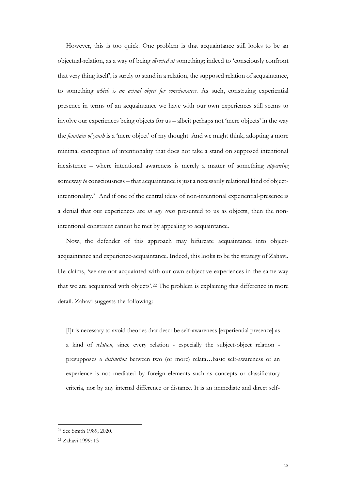However, this is too quick. One problem is that acquaintance still looks to be an objectual-relation, as a way of being *directed at* something; indeed to 'consciously confront that very thing itself', is surely to stand in a relation, the supposed relation of acquaintance, to something *which is an actual object for consciousness*. As such, construing experiential presence in terms of an acquaintance we have with our own experiences still seems to involve our experiences being objects for us – albeit perhaps not 'mere objects' in the way the *fountain of youth* is a 'mere object' of my thought. And we might think, adopting a more minimal conception of intentionality that does not take a stand on supposed intentional inexistence – where intentional awareness is merely a matter of something *appearing* someway *to* consciousness – that acquaintance is just a necessarily relational kind of objectintentionality.<sup>21</sup> And if one of the central ideas of non-intentional experiential-presence is a denial that our experiences are *in any sense* presented to us as objects, then the nonintentional constraint cannot be met by appealing to acquaintance.

Now, the defender of this approach may bifurcate acquaintance into objectacquaintance and experience-acquaintance. Indeed, this looks to be the strategy of Zahavi. He claims, 'we are not acquainted with our own subjective experiences in the same way that we are acquainted with objects'.<sup>22</sup> The problem is explaining this difference in more detail. Zahavi suggests the following:

[I]t is necessary to avoid theories that describe self-awareness [experiential presence] as a kind of *relation*, since every relation - especially the subject-object relation presupposes a *distinction* between two (or more) relata…basic self-awareness of an experience is not mediated by foreign elements such as concepts or classificatory criteria, nor by any internal difference or distance. It is an immediate and direct self-

<sup>21</sup> See Smith 1989; 2020.

<sup>22</sup> Zahavi 1999: 13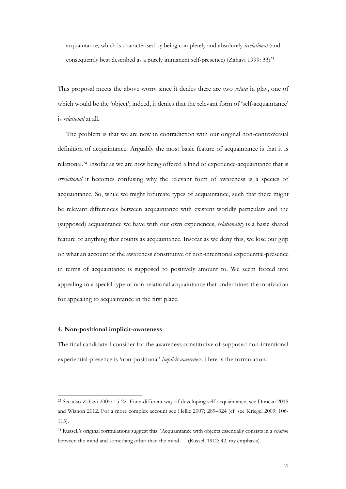acquaintance, which is characterised by being completely and absolutely *irrelational* (and consequently best described as a purely immanent self-presence) (Zahavi 1999: 33)<sup>23</sup>

This proposal meets the above worry since it denies there are two *relata* in play, one of which would be the 'object'; indeed, it denies that the relevant form of 'self-acquaintance' is *relational* at all.

The problem is that we are now in contradiction with our original non-controversial definition of acquaintance. Arguably the most basic feature of acquaintance is that it is relational.<sup>24</sup> Insofar as we are now being offered a kind of experience-acquaintance that is *irrelational* it becomes confusing why the relevant form of awareness is a species of acquaintance. So, while we might bifurcate types of acquaintance, such that there might be relevant differences between acquaintance with existent worldly particulars and the (supposed) acquaintance we have with our own experiences, *relationality* is a basic shared feature of anything that counts as acquaintance. Insofar as we deny this, we lose our grip on what an account of the awareness constitutive of non-intentional experiential-presence in terms of acquaintance is supposed to positively amount to. We seem forced into appealing to a special type of non-relational acquaintance that undermines the motivation for appealing to acquaintance in the first place.

# **4. Non-positional implicit-awareness**

The final candidate I consider for the awareness constitutive of supposed non-intentional experiential-presence is 'non-positional' *implicit-awareness*. Here is the formulation:

<sup>23</sup> See also Zahavi 2005: 15-22. For a different way of developing self-acquaintance, see Duncan 2015 and Wishon 2012. For a more complex account see Hellie 2007; 289–324 (cf. see Kriegel 2009: 106- 113).

<sup>24</sup> Russell's original formulations suggest this: 'Acquaintance with objects essentially consists in a *relation* between the mind and something other than the mind…' (Russell 1912: 42, my emphasis).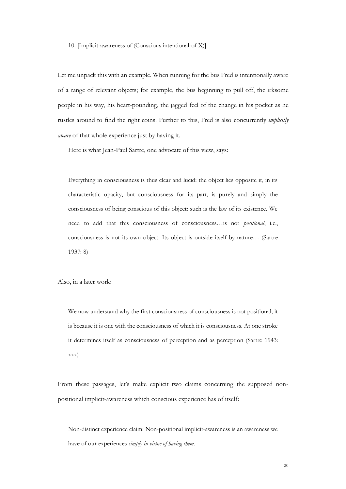10. [Implicit-awareness of (Conscious intentional-of X)]

Let me unpack this with an example. When running for the bus Fred is intentionally aware of a range of relevant objects; for example, the bus beginning to pull off, the irksome people in his way, his heart-pounding, the jagged feel of the change in his pocket as he rustles around to find the right coins. Further to this, Fred is also concurrently *implicitly aware* of that whole experience just by having it.

Here is what Jean-Paul Sartre, one advocate of this view, says:

Everything in consciousness is thus clear and lucid: the object lies opposite it, in its characteristic opacity, but consciousness for its part, is purely and simply the consciousness of being conscious of this object: such is the law of its existence. We need to add that this consciousness of consciousness…is not *positional*, i.e., consciousness is not its own object. Its object is outside itself by nature… (Sartre 1937: 8)

Also, in a later work:

We now understand why the first consciousness of consciousness is not positional; it is because it is one with the consciousness of which it is consciousness. At one stroke it determines itself as consciousness of perception and as perception (Sartre 1943: xxx)

From these passages, let's make explicit two claims concerning the supposed nonpositional implicit-awareness which conscious experience has of itself:

Non-distinct experience claim: Non-positional implicit-awareness is an awareness we have of our experiences *simply in virtue of having them*.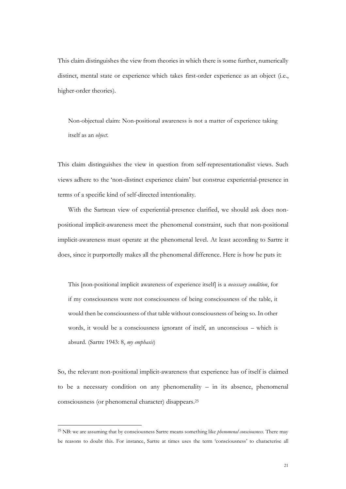This claim distinguishes the view from theories in which there is some further, numerically distinct, mental state or experience which takes first-order experience as an object (i.e., higher-order theories).

Non-objectual claim: Non-positional awareness is not a matter of experience taking itself as an *object*.

This claim distinguishes the view in question from self-representationalist views. Such views adhere to the 'non-distinct experience claim' but construe experiential-presence in terms of a specific kind of self-directed intentionality.

With the Sartrean view of experiential-presence clarified, we should ask does nonpositional implicit-awareness meet the phenomenal constraint, such that non-positional implicit-awareness must operate at the phenomenal level. At least according to Sartre it does, since it purportedly makes all the phenomenal difference. Here is how he puts it:

This [non-positional implicit awareness of experience itself] is a *necessary condition*, for if my consciousness were not consciousness of being consciousness of the table, it would then be consciousness of that table without consciousness of being so. In other words, it would be a consciousness ignorant of itself, an unconscious – which is absurd. (Sartre 1943: 8, *my emphasis*)

So, the relevant non-positional implicit-awareness that experience has of itself is claimed to be a necessary condition on any phenomenality – in its absence, phenomenal consciousness (or phenomenal character) disappears.<sup>25</sup>

<sup>25</sup> NB: we are assuming that by consciousness Sartre means something like *phenomenal consciousness*. There may be reasons to doubt this. For instance, Sartre at times uses the term 'consciousness' to characterise all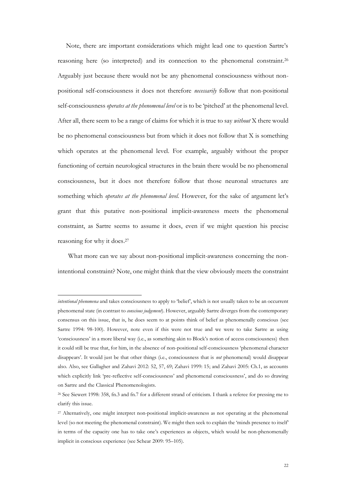Note, there are important considerations which might lead one to question Sartre's reasoning here (so interpreted) and its connection to the phenomenal constraint. 26 Arguably just because there would not be any phenomenal consciousness without nonpositional self-consciousness it does not therefore *necessarily* follow that non-positional self-consciousness *operates at the phenomenal level* or is to be 'pitched' at the phenomenal level. After all, there seem to be a range of claims for which it is true to say *without* X there would be no phenomenal consciousness but from which it does not follow that X is something which operates at the phenomenal level. For example, arguably without the proper functioning of certain neurological structures in the brain there would be no phenomenal consciousness, but it does not therefore follow that those neuronal structures are something which *operates at the phenomenal level.* However, for the sake of argument let's grant that this putative non-positional implicit-awareness meets the phenomenal constraint, as Sartre seems to assume it does, even if we might question his precise reasoning for why it does. 27

What more can we say about non-positional implicit-awareness concerning the nonintentional constraint? Note, one might think that the view obviously meets the constraint

*intentional phenomena* and takes consciousness to apply to 'belief', which is not usually taken to be an occurrent phenomenal state (in contrast to *conscious judgement*). However, arguably Sartre diverges from the contemporary consensus on this issue, that is, he does seem to at points think of belief as phenomenally conscious (see Sartre 1994: 98-100). However, note even if this were not true and we were to take Sartre as using 'consciousness' in a more liberal way (i.e., as something akin to Block's notion of access consciousness) then it could still be true that, for him, in the absence of non-positional self-consciousness 'phenomenal character disappears'. It would just be that other things (i.e., consciousness that is *not* phenomenal) would disappear also. Also, see Gallagher and Zahavi 2012: 52, 57, 69; Zahavi 1999: 15; and Zahavi 2005: Ch.1, as accounts which explicitly link 'pre-reflective self-consciousness' and phenomenal consciousness', and do so drawing on Sartre and the Classical Phenomenologists.

<sup>26</sup> See Siewert 1998: 358, fn.3 and fn.7 for a different strand of criticism. I thank a referee for pressing me to clarify this issue.

<sup>&</sup>lt;sup>27</sup> Alternatively, one might interpret non-positional implicit-awareness as not operating at the phenomenal level (so not meeting the phenomenal constraint). We might then seek to explain the 'minds presence to itself' in terms of the capacity one has to take one's experiences as objects, which would be non-phenomenally implicit in conscious experience (see Schear 2009: 95–105).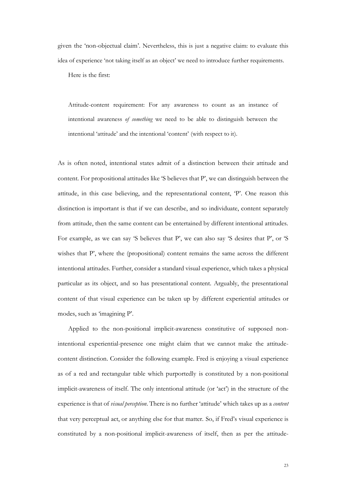given the 'non-objectual claim'. Nevertheless, this is just a negative claim: to evaluate this idea of experience 'not taking itself as an object' we need to introduce further requirements.

Here is the first:

Attitude-content requirement: For any awareness to count as an instance of intentional awareness *of something* we need to be able to distinguish between the intentional 'attitude' and the intentional 'content' (with respect to it).

As is often noted, intentional states admit of a distinction between their attitude and content. For propositional attitudes like 'S believes that P', we can distinguish between the attitude, in this case believing, and the representational content, 'P'. One reason this distinction is important is that if we can describe, and so individuate, content separately from attitude, then the same content can be entertained by different intentional attitudes. For example, as we can say 'S believes that P', we can also say 'S desires that P', or 'S wishes that P', where the (propositional) content remains the same across the different intentional attitudes. Further, consider a standard visual experience, which takes a physical particular as its object, and so has presentational content. Arguably, the presentational content of that visual experience can be taken up by different experiential attitudes or modes, such as 'imagining P'.

Applied to the non-positional implicit-awareness constitutive of supposed nonintentional experiential-presence one might claim that we cannot make the attitudecontent distinction. Consider the following example. Fred is enjoying a visual experience as of a red and rectangular table which purportedly is constituted by a non-positional implicit-awareness of itself. The only intentional attitude (or 'act') in the structure of the experience is that of *visual perception*. There is no further 'attitude' which takes up as a *content* that very perceptual act, or anything else for that matter. So, if Fred's visual experience is constituted by a non-positional implicit-awareness of itself, then as per the attitude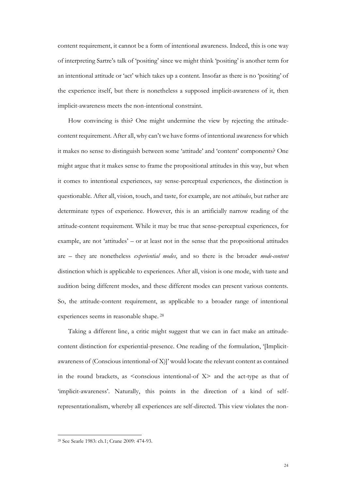content requirement, it cannot be a form of intentional awareness. Indeed, this is one way of interpreting Sartre's talk of 'positing' since we might think 'positing' is another term for an intentional attitude or 'act' which takes up a content. Insofar as there is no 'positing' of the experience itself, but there is nonetheless a supposed implicit-awareness of it, then implicit-awareness meets the non-intentional constraint.

How convincing is this? One might undermine the view by rejecting the attitudecontent requirement. After all, why can't we have forms of intentional awareness for which it makes no sense to distinguish between some 'attitude' and 'content' components? One might argue that it makes sense to frame the propositional attitudes in this way, but when it comes to intentional experiences, say sense-perceptual experiences, the distinction is questionable. After all, vision, touch, and taste, for example, are not *attitudes*, but rather are determinate types of experience. However, this is an artificially narrow reading of the attitude-content requirement. While it may be true that sense-perceptual experiences, for example, are not 'attitudes' – or at least not in the sense that the propositional attitudes are – they are nonetheless *experiential modes*, and so there is the broader *mode-content* distinction which is applicable to experiences. After all, vision is one mode, with taste and audition being different modes, and these different modes can present various contents. So, the attitude-content requirement, as applicable to a broader range of intentional experiences seems in reasonable shape. <sup>28</sup>

Taking a different line, a critic might suggest that we can in fact make an attitudecontent distinction for experiential-presence. One reading of the formulation, '[Implicitawareness of (Conscious intentional-of X)]' would locate the relevant content as contained in the round brackets, as  $\leq$  conscious intentional-of X $>$  and the act-type as that of 'implicit-awareness'. Naturally, this points in the direction of a kind of selfrepresentationalism, whereby all experiences are self-directed. This view violates the non-

<sup>28</sup> See Searle 1983: ch.1; Crane 2009: 474-93.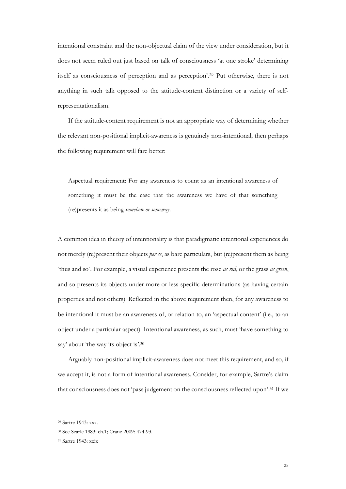intentional constraint and the non-objectual claim of the view under consideration, but it does not seem ruled out just based on talk of consciousness 'at one stroke' determining itself as consciousness of perception and as perception'. <sup>29</sup> Put otherwise, there is not anything in such talk opposed to the attitude-content distinction or a variety of selfrepresentationalism.

If the attitude-content requirement is not an appropriate way of determining whether the relevant non-positional implicit-awareness is genuinely non-intentional, then perhaps the following requirement will fare better:

Aspectual requirement: For any awareness to count as an intentional awareness of something it must be the case that the awareness we have of that something (re)presents it as being *somehow or someway*.

A common idea in theory of intentionality is that paradigmatic intentional experiences do not merely (re)present their objects *per se*, as bare particulars, but (re)present them as being 'thus and so'. For example, a visual experience presents the rose *as red*, or the grass *as green*, and so presents its objects under more or less specific determinations (as having certain properties and not others). Reflected in the above requirement then, for any awareness to be intentional it must be an awareness of, or relation to, an 'aspectual content' (i.e., to an object under a particular aspect). Intentional awareness, as such, must 'have something to say' about 'the way its object is'.<sup>30</sup>

Arguably non-positional implicit-awareness does not meet this requirement, and so, if we accept it, is not a form of intentional awareness. Consider, for example, Sartre's claim that consciousness does not 'pass judgement on the consciousness reflected upon'.<sup>31</sup> If we

<sup>29</sup> Sartre 1943: xxx.

<sup>30</sup> See Searle 1983: ch.1; Crane 2009: 474-93.

<sup>31</sup> Sartre 1943: xxix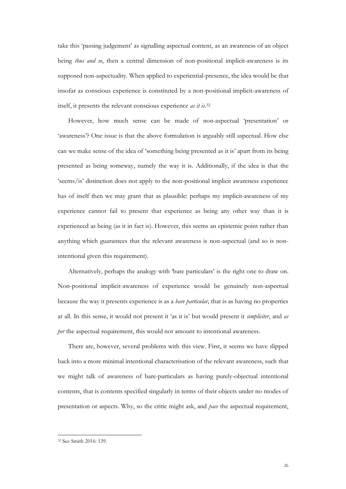take this 'passing judgement' as signalling aspectual content, as an awareness of an object being *thus and so*, then a central dimension of non-positional implicit-awareness is its supposed non-aspectuality. When applied to experiential-presence, the idea would be that insofar as conscious experience is constituted by a non-positional implicit-awareness of itself, it presents the relevant conscious experience *as it is*. 32

However, how much sense can be made of non-aspectual 'presentation' or 'awareness'? One issue is that the above formulation is arguably still aspectual. How else can we make sense of the idea of 'something being presented as it is' apart from its being presented as being someway, namely the way it is. Additionally, if the idea is that the 'seems/is' distinction does not apply to the non-positional implicit awareness experience has of itself then we may grant that as plausible: perhaps my implicit-awareness of my experience cannot fail to present that experience as being any other way than it is experienced as being (as it in fact is). However, this seems an epistemic point rather than anything which guarantees that the relevant awareness is non-aspectual (and so is nonintentional given this requirement).

Alternatively, perhaps the analogy with 'bare particulars' is the right one to draw on. Non-positional implicit-awareness of experience would be genuinely non-aspectual because the way it presents experience is as a *bare particular*, that is as having no properties at all. In this sense, it would not present it 'as it is' but would present it *simpliciter*, and *as per* the aspectual requirement, this would not amount to intentional awareness.

There are, however, several problems with this view. First, it seems we have slipped back into a more minimal intentional characterisation of the relevant awareness, such that we might talk of awareness of bare-particulars as having purely-objectual intentional contents, that is contents specified singularly in terms of their objects under no modes of presentation or aspects. Why, so the critic might ask, and *pace* the aspectual requirement,

<sup>32</sup> See Smith 2016: 139.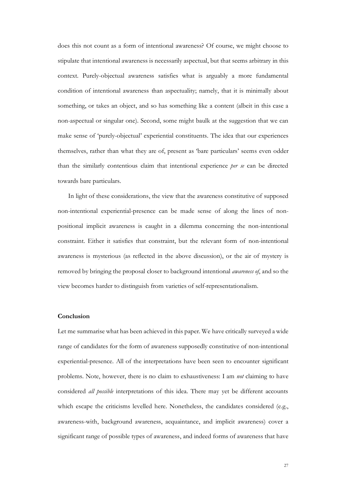does this not count as a form of intentional awareness? Of course, we might choose to stipulate that intentional awareness is necessarily aspectual, but that seems arbitrary in this context. Purely-objectual awareness satisfies what is arguably a more fundamental condition of intentional awareness than aspectuality; namely, that it is minimally about something, or takes an object, and so has something like a content (albeit in this case a non-aspectual or singular one). Second, some might baulk at the suggestion that we can make sense of 'purely-objectual' experiential constituents. The idea that our experiences themselves, rather than what they are of, present as 'bare particulars' seems even odder than the similarly contentious claim that intentional experience *per se* can be directed towards bare particulars.

In light of these considerations, the view that the awareness constitutive of supposed non-intentional experiential-presence can be made sense of along the lines of nonpositional implicit awareness is caught in a dilemma concerning the non-intentional constraint. Either it satisfies that constraint, but the relevant form of non-intentional awareness is mysterious (as reflected in the above discussion), or the air of mystery is removed by bringing the proposal closer to background intentional *awareness of*, and so the view becomes harder to distinguish from varieties of self-representationalism.

# **Conclusion**

Let me summarise what has been achieved in this paper. We have critically surveyed a wide range of candidates for the form of awareness supposedly constitutive of non-intentional experiential-presence. All of the interpretations have been seen to encounter significant problems. Note, however, there is no claim to exhaustiveness: I am *not* claiming to have considered *all possible* interpretations of this idea. There may yet be different accounts which escape the criticisms levelled here. Nonetheless, the candidates considered (e.g., awareness-with, background awareness, acquaintance, and implicit awareness) cover a significant range of possible types of awareness, and indeed forms of awareness that have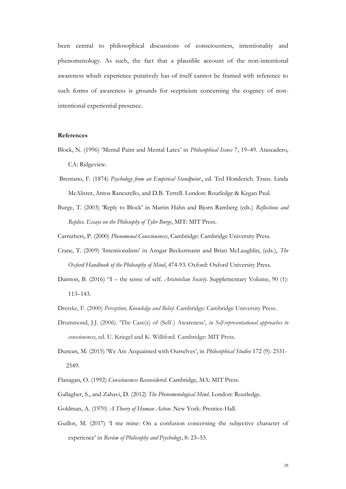been central to philosophical discussions of consciousness, intentionality and phenomenology. As such, the fact that a plausible account of the non-intentional awareness which experience putatively has of itself cannot be framed with reference to such forms of awareness is grounds for scepticism concerning the cogency of nonintentional experiential presence.

#### **References**

- Block, N. (1996) 'Mental Paint and Mental Latex' in *Philosophical Issues* 7, 19–49. Atascadero, CA: Ridgeview.
- Brentano, F. (1874) *Psychology from an Empirical Standpoint*., ed. Ted Honderich. Trans. Linda McAlister, Antos Rancurello, and D.B. Terrell. London: Routledge & Kegan Paul.
- Burge, T. (2003) 'Reply to Block' in Martin Hahn and Bjorn Ramberg (eds.) *Reflections and Replies*. *Essays on the Philosophy of Tyler Burge*, MIT: MIT Press.

Carruthers, P. (2000) *Phenomenal Consciousness*, Cambridge: Cambridge University Press.

- Crane, T. (2009) 'Intentionalism' in Ansgar Beckermann and Brian McLaughlin, (eds.), *The Oxford Handbook of the Philosophy of Mind*, 474-93. Oxford: Oxford University Press.
- Dainton, B. (2016) "I the sense of self. *Aristotelian Society*. Supplementary Volume, 90 (1): 113–143.
- Dretske, F. (2000) *Perception, Knowledge and Belief*. Cambridge: Cambridge University Press.
- Drummond, J.J. (2006). 'The Case(s) of (Self-) Awareness', *in Self-representational approaches to consciousness*, ed. U. Kriegel and K. Williford. Cambridge: MIT Press.
- Duncan, M. (2015) 'We Are Acquainted with Ourselves', in *Philosophical Studies* 172 (9): 2531- 2549.
- Flanagan, O. (1992) *Consciousness Reconsidered*. Cambridge, MA: MIT Press.
- Gallagher, S., and Zahavi, D. (2012) *The Phenomenological Mind*. London: Routledge.
- Goldman, A. (1970) *A Theory of Human Action*. New York: Prentice-Hall.
- Guillot, M. (2017) 'I me mine: On a confusion concerning the subjective character of experience' in *Review of Philosophy and Psychology*, 8: 23–53.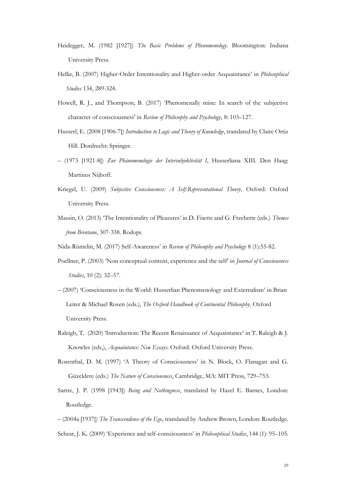- Heidegger, M. (1982 [1927]) *The Basic Problems of Phenomenology*. Bloomington: Indiana University Press.
- Hellie, B. (2007) Higher-Order Intentionality and Higher-order Acquaintance' in *Philosophical Studies* 134, 289-324.
- Howell, R. J., and Thompson, B. (2017) 'Phenomenally mine: In search of the subjective character of consciousness' in *Review of Philosophy and Psychology*, 8: 103–127.
- Husserl, E. (2008 [1906-7]) *Introduction to Logic and Theory of Knowledge*, translated by Claire Ortiz Hill. Dordrecht: Springer.
- (1973 [1921-8]) *Zur Phänomenologie der Intersubjektivität I*, Husserliana XIII. Den Haag: Martinus Nijhoff.
- Kriegel, U. (2009) *Subjective Consciousness: A Self-Representational Theory*. Oxford: Oxford University Press.
- Massin, O. (2013) 'The Intentionality of Pleasures' in D. Fisette and G. Frechette (eds.) *Themes from Brentano*, 307-338. Rodopi.
- Nida-Rümelin, M. (2017) Self-Awareness' in *Review of Philosophy and Psychology* 8 (1):55-82.
- Poellner, P. (2003) 'Non-conceptual content, experience and the self' in *Journal of Consciousness Studies*, 10 (2): 32–57.
- (2007) 'Consciousness in the World: Husserlian Phenomenology and Externalism' in Brian Leiter & Michael Rosen (eds.), *The Oxford Handbook of Continental Philosophy*. Oxford University Press.
- Raleigh, T. (2020) 'Introduction: The Recent Renaissance of Acquaintance' in T. Raleigh & J. Knowles (eds,), *Acquaintance: New Essays*. Oxford: Oxford University Press.
- Rosenthal, D. M. (1997) 'A Theory of Consciousness' in N. Block, O. Flanagan and G. Güzeldere (eds.) *The Nature of Consciousness*, Cambridge, MA: MIT Press, 729–753.
- Sartre, J. P. (1998 [1943]) *Being and Nothingness*, translated by Hazel E. Barnes, London: Routledge.
- (2004a [1937]) *The Transcendence of the Ego*, translated by Andrew Brown, London: Routledge. Schear, J. K. (2009) 'Experience and self-consciousness' in *Philosophical Studies*, 144 (1): 95–105.